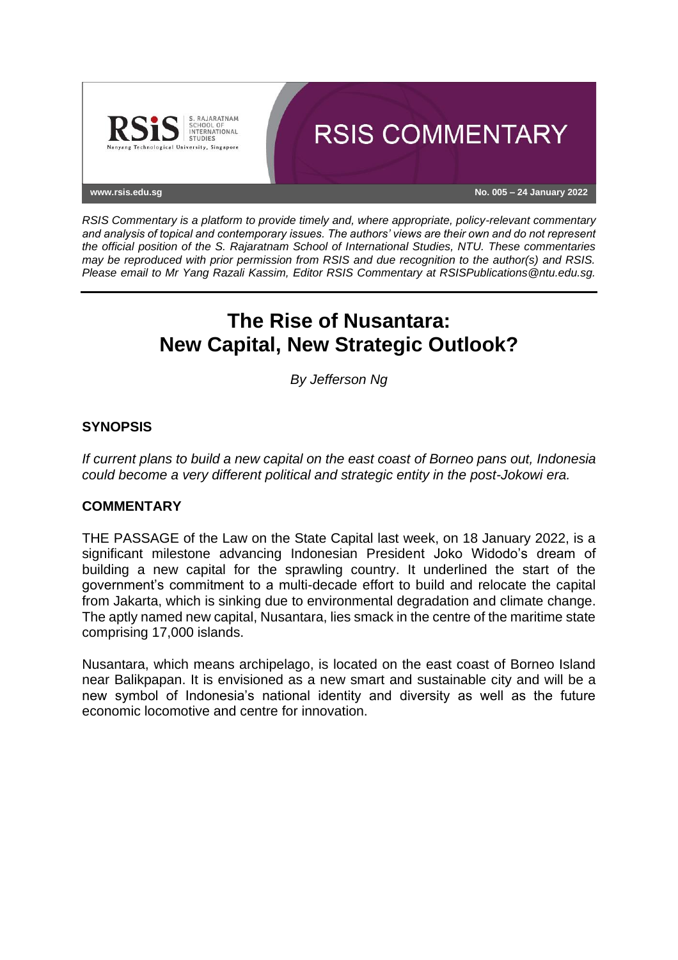

*RSIS Commentary is a platform to provide timely and, where appropriate, policy-relevant commentary and analysis of topical and contemporary issues. The authors' views are their own and do not represent the official position of the S. Rajaratnam School of International Studies, NTU. These commentaries may be reproduced with prior permission from RSIS and due recognition to the author(s) and RSIS. Please email to Mr Yang Razali Kassim, Editor RSIS Commentary at RSISPublications@ntu.edu.sg.*

# **The Rise of Nusantara: New Capital, New Strategic Outlook?**

*By Jefferson Ng*

## **SYNOPSIS**

*If current plans to build a new capital on the east coast of Borneo pans out, Indonesia could become a very different political and strategic entity in the post-Jokowi era.*

## **COMMENTARY**

THE PASSAGE of the Law on the State Capital last week, on 18 January 2022, is a significant milestone advancing Indonesian President Joko Widodo's dream of building a new capital for the sprawling country. It underlined the start of the government's commitment to a multi-decade effort to build and relocate the capital from Jakarta, which is sinking due to environmental degradation and climate change. The aptly named new capital, Nusantara, lies smack in the centre of the maritime state comprising 17,000 islands.

Nusantara, which means archipelago, is located on the east coast of Borneo Island near Balikpapan. It is envisioned as a new smart and sustainable city and will be a new symbol of Indonesia's national identity and diversity as well as the future economic locomotive and centre for innovation.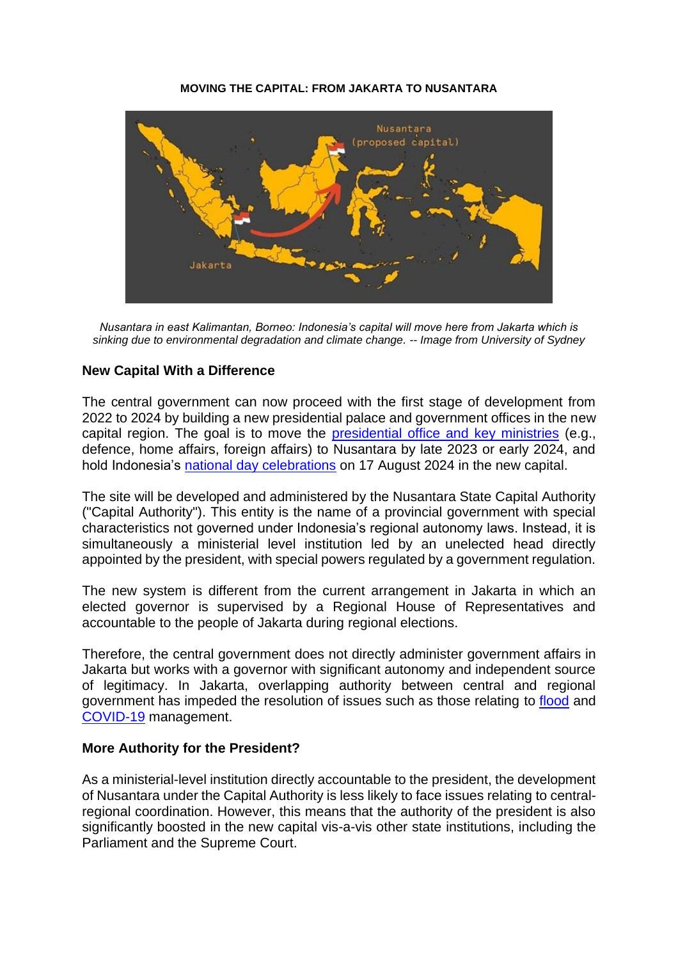#### **MOVING THE CAPITAL: FROM JAKARTA TO NUSANTARA**



*Nusantara in east Kalimantan, Borneo: Indonesia's capital will move here from Jakarta which is sinking due to environmental degradation and climate change. -- Image from University of Sydney*

## **New Capital With a Difference**

The central government can now proceed with the first stage of development from 2022 to 2024 by building a new presidential palace and government offices in the new capital region. The goal is to move the [presidential office and key ministries](https://nasional.kompas.com/read/2021/12/23/21074791/kantor-presiden-dan-wapres-mulai-pindah-sebelum-2024-ke-ibu-kota-baru?page=all) (e.g., defence, home affairs, foreign affairs) to Nusantara by late 2023 or early 2024, and hold Indonesia's [national day celebrations](https://nasional.tempo.co/read/1446045/jokowi-upacara-hut-ri-2024-di-ibu-kota-baru-simak-8-perkembangan-terakhir/full&view=ok) on 17 August 2024 in the new capital.

The site will be developed and administered by the Nusantara State Capital Authority ("Capital Authority"). This entity is the name of a provincial government with special characteristics not governed under Indonesia's regional autonomy laws. Instead, it is simultaneously a ministerial level institution led by an unelected head directly appointed by the president, with special powers regulated by a government regulation.

The new system is different from the current arrangement in Jakarta in which an elected governor is supervised by a Regional House of Representatives and accountable to the people of Jakarta during regional elections.

Therefore, the central government does not directly administer government affairs in Jakarta but works with a governor with significant autonomy and independent source of legitimacy. In Jakarta, overlapping authority between central and regional government has impeded the resolution of issues such as those relating to [flood](https://jakarta.bisnis.com/read/20200304/383/1209308/menekan-ego-sektoral-untuk-atasi-banjir-di-jakarta-dan-daerah-penyangga) and [COVID-19](https://www.newmandala.org/can-indonesias-fight-against-covid-19-overcome-troubled-central-regional-coordination/) management.

#### **More Authority for the President?**

As a ministerial-level institution directly accountable to the president, the development of Nusantara under the Capital Authority is less likely to face issues relating to centralregional coordination. However, this means that the authority of the president is also significantly boosted in the new capital vis-a-vis other state institutions, including the Parliament and the Supreme Court.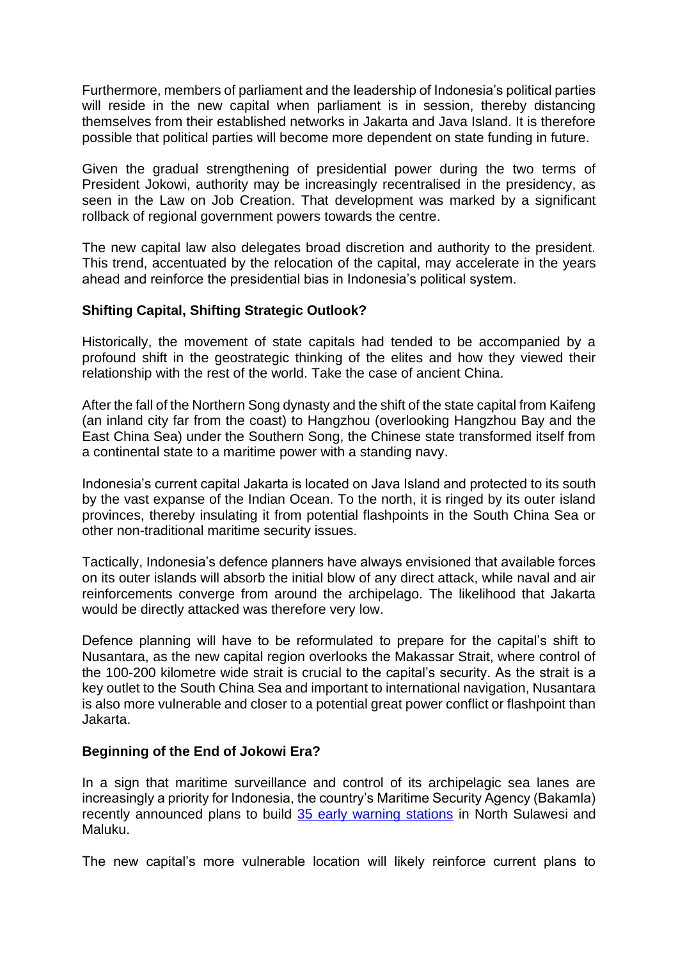Furthermore, members of parliament and the leadership of Indonesia's political parties will reside in the new capital when parliament is in session, thereby distancing themselves from their established networks in Jakarta and Java Island. It is therefore possible that political parties will become more dependent on state funding in future.

Given the gradual strengthening of presidential power during the two terms of President Jokowi, authority may be increasingly recentralised in the presidency, as seen in the Law on Job Creation. That development was marked by a significant rollback of regional government powers towards the centre.

The new capital law also delegates broad discretion and authority to the president. This trend, accentuated by the relocation of the capital, may accelerate in the years ahead and reinforce the presidential bias in Indonesia's political system.

## **Shifting Capital, Shifting Strategic Outlook?**

Historically, the movement of state capitals had tended to be accompanied by a profound shift in the geostrategic thinking of the elites and how they viewed their relationship with the rest of the world. Take the case of ancient China.

After the fall of the Northern Song dynasty and the shift of the state capital from Kaifeng (an inland city far from the coast) to Hangzhou (overlooking Hangzhou Bay and the East China Sea) under the Southern Song, the Chinese state transformed itself from a continental state to a maritime power with a standing navy.

Indonesia's current capital Jakarta is located on Java Island and protected to its south by the vast expanse of the Indian Ocean. To the north, it is ringed by its outer island provinces, thereby insulating it from potential flashpoints in the South China Sea or other non-traditional maritime security issues.

Tactically, Indonesia's defence planners have always envisioned that available forces on its outer islands will absorb the initial blow of any direct attack, while naval and air reinforcements converge from around the archipelago. The likelihood that Jakarta would be directly attacked was therefore very low.

Defence planning will have to be reformulated to prepare for the capital's shift to Nusantara, as the new capital region overlooks the Makassar Strait, where control of the 100-200 kilometre wide strait is crucial to the capital's security. As the strait is a key outlet to the South China Sea and important to international navigation, Nusantara is also more vulnerable and closer to a potential great power conflict or flashpoint than Jakarta.

## **Beginning of the End of Jokowi Era?**

In a sign that maritime surveillance and control of its archipelagic sea lanes are increasingly a priority for Indonesia, the country's Maritime Security Agency (Bakamla) recently announced plans to build [35 early warning stations](https://www.antaranews.com/berita/2653661/bakamla-bangun-35-stasiun-sistem-peringatan-dini-di-area-terluar) in North Sulawesi and Maluku.

The new capital's more vulnerable location will likely reinforce current plans to